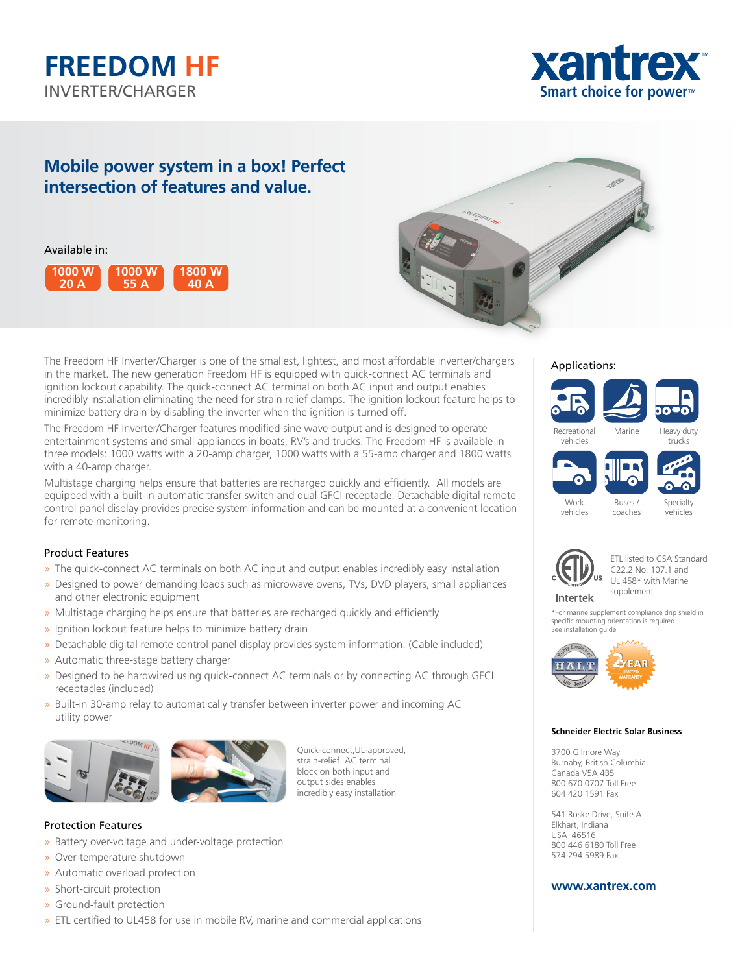



# **Mobile power system in a box! Perfect intersection of features and value.**

Available in:





The Freedom HF Inverter/Charger is one of the smallest, lightest, and most affordable inverter/chargers in the market. The new generation Freedom HF is equipped with quick-connect AC terminals and ignition lockout capability. The quick-connect AC terminal on both AC input and output enables incredibly installation eliminating the need for strain relief clamps. The ignition lockout feature helps to minimize battery drain by disabling the inverter when the ignition is turned off.

The Freedom HF Inverter/Charger features modified sine wave output and is designed to operate entertainment systems and small appliances in boats, RV's and trucks. The Freedom HF is available in three models: 1000 watts with a 20-amp charger, 1000 watts with a 55-amp charger and 1800 watts with a 40-amp charger.

Multistage charging helps ensure that batteries are recharged quickly and efficiently. All models are equipped with a built-in automatic transfer switch and dual GFCI receptacle. Detachable digital remote control panel display provides precise system information and can be mounted at a convenient location for remote monitoring.

# Product Features

- » The quick-connect AC terminals on both AC input and output enables incredibly easy installation
- » Designed to power demanding loads such as microwave ovens, TVs, DVD players, small appliances and other electronic equipment
- » Multistage charging helps ensure that batteries are recharged quickly and efficiently
- » Ignition lockout feature helps to minimize battery drain
- » Detachable digital remote control panel display provides system information. (Cable included)
- » Automatic three-stage battery charger
- » Designed to be hardwired using quick-connect AC terminals or by connecting AC through GFCI receptacles (included)
- » Built-in 30-amp relay to automatically transfer between inverter power and incoming AC utility power



Quick-connect,UL-approved, strain-relief. AC terminal block on both input and output sides enables incredibly easy installation

# Protection Features

- » Battery over-voltage and under-voltage protection
- » Over-temperature shutdown
- » Automatic overload protection
- » Short-circuit protection
- » Ground-fault protection
- » ETL certified to UL458 for use in mobile RV, marine and commercial applications

## Applications:





vehicles coaches Specialty vehicles





ETL listed to CSA Standard C22.2 No. 107.1 and UL 458\* with Marine supplement

\*For marine supplement compliance drip shield in specific mounting orientation is required. See installation guide



#### **Schneider Electric Solar Business**

3700 Gilmore Way Burnaby, British Columbia Canada V5A 4B5 800 670 0707 Toll Free 604 420 1591 Fax

541 Roske Drive, Suite A Elkhart, Indiana USA 46516 800 446 6180 Toll Free 574 294 5989 Fax

# **www.xantrex.com**